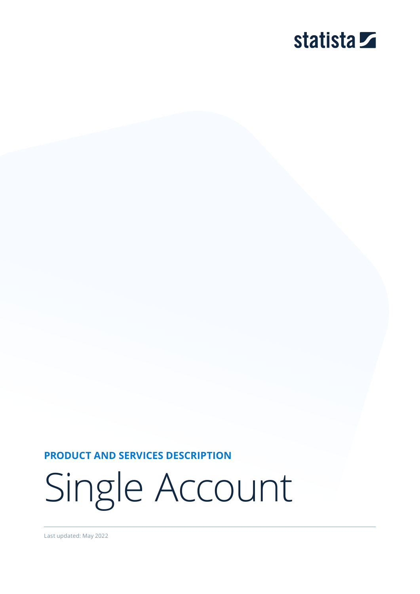# statista **Z**

**PRODUCT AND SERVICES DESCRIPTION**

Single Account

Last updated: May 2022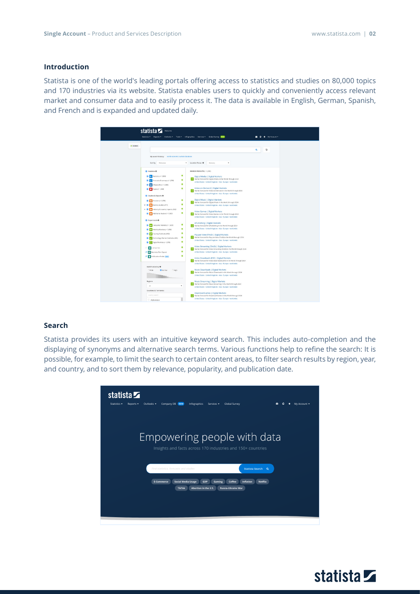## **Introduction**

Statista is one of the world's leading portals offering access to statistics and studies on 80,000 topics and 170 industries via its website. Statista enables users to quickly and conveniently access relevant market and consumer data and to easily process it. The data is available in English, German, Spanish, and French and is expanded and updated daily.

|             | statista <b>Z</b><br>Welcome<br>Statistics . Reports . Outlooks .<br>Tools = Infographics Services = Global Survey (NEW                                                                                                                                                                                                                                                                                                                                                                                                                                                                                                                                                                                                                                                                                                                                                                        | * My Account *<br>$\bullet$ |
|-------------|------------------------------------------------------------------------------------------------------------------------------------------------------------------------------------------------------------------------------------------------------------------------------------------------------------------------------------------------------------------------------------------------------------------------------------------------------------------------------------------------------------------------------------------------------------------------------------------------------------------------------------------------------------------------------------------------------------------------------------------------------------------------------------------------------------------------------------------------------------------------------------------------|-----------------------------|
| $•$ 18 NEWS |                                                                                                                                                                                                                                                                                                                                                                                                                                                                                                                                                                                                                                                                                                                                                                                                                                                                                                |                             |
|             |                                                                                                                                                                                                                                                                                                                                                                                                                                                                                                                                                                                                                                                                                                                                                                                                                                                                                                | D<br>$\alpha$               |
|             | My search history: world economic outlook database<br>Sort by<br>Relevance<br>Location Focus O<br>۰<br>Germany                                                                                                                                                                                                                                                                                                                                                                                                                                                                                                                                                                                                                                                                                                                                                                                 |                             |
|             | SEARCH RESULTS (> 1,000)<br><b>C</b> Statistics <b>O</b>                                                                                                                                                                                                                                                                                                                                                                                                                                                                                                                                                                                                                                                                                                                                                                                                                                       |                             |
|             | $\bullet$<br>$\Box$ The Statistics $\rho$ 1,000)<br>Digital Media   Digital Markets<br>Market forecast for Digital Media in the World through 2024<br>$\bullet$<br><b>B</b> Hg Forecasts & surveys (> 1,000)<br>United States - United Kingdom - Asia - Europe - worldwide<br>$\bullet$<br>a negraphics (> 1,000)<br>Video-on-Demand   Digital Markets<br>$\bullet$<br><b>2</b> Topics (> 1,000)<br>Market forecast for Video on-Demand in the World through 2024<br>United States - United Kingdom - Asia - Europe - worldwide<br>Studies & Reports O<br>Digital Music   Digital Markets<br>$\bullet$<br><b>2</b> Dossiers (> 1,000)<br>Market forecast for Digital Music in the World through 2024<br>۰<br>$\triangleright$ <b>B</b> $\cdot$ Statista studies (477)<br>United States - United Kingdom - Asia - Europe - worldwide<br>$\bullet$<br>$-2$<br>n Industry & country reports (562) |                             |
|             | Video Games   Digital Markets<br>$\bullet$<br><b>B</b> B Additional studies (> 1,000)<br>Market forecast for Video Games in the World through 2024<br>United States - United Kingdom - Asia - Europe - worldwide<br><b>2</b> Expert tools O                                                                                                                                                                                                                                                                                                                                                                                                                                                                                                                                                                                                                                                    |                             |
|             | ePublishing   Digital Markets<br>$\bullet$<br><b>2</b> Consumer Markets (> 1,000)<br>Market forecast for ePublishing in the World through 2024<br>United States - United Kingdom - Asia - Europe - worldwide<br>۰<br>2 A Mobility Markets ( 1,050)<br>$\bullet$<br><b>B</b> Country Outlooks (958)<br>Pay-per-View (TVoD)   Digital Markets<br>Market forecast for Pay-per-View (TVoD) in the World through 2024<br>۰<br>Technology Market Cutlooks (461)<br>United States - United Kingdom - Asia - Europe - worldwide                                                                                                                                                                                                                                                                                                                                                                        |                             |
|             | $\bullet$<br>Digital Markets (> 1,000)<br>Video Streaming (SVoD)   Digital Markets<br>$\bullet$<br>Companies<br>Market forecast for Video Streaming (SVoD) in the World through 2024<br>$\bullet$<br>United States - United Kingdom - Asia - Europe - worldwide<br><b>G III</b> Business Plan Export<br>۰<br><b>C</b> <sup>D</sup> Publication Finder [MTA]<br>Video Downloads (EST)   Digital Markets<br>Market forecast for Video Downloads (EST) in the World through 2024                                                                                                                                                                                                                                                                                                                                                                                                                  |                             |
|             | United States - United Kingdom - Asia - Europe - worldwide<br>Search accuracy O<br>Music Downloads   Digital Markets<br>CWide<br><b>O</b> Normal<br>CHigh<br>Market forecast for Music Downloads in the World through 2024<br>United States - United Kingdom - Asia - Europe - worldwide                                                                                                                                                                                                                                                                                                                                                                                                                                                                                                                                                                                                       |                             |
|             | Regions<br>Music Streaming   Digital Markets<br>Market forecast for Music Streaming in the World through 2024<br>All.<br>٠<br>United States - United Kingdom - Asia - Europe - worldwide<br>Countries & Territories                                                                                                                                                                                                                                                                                                                                                                                                                                                                                                                                                                                                                                                                            |                             |
|             | Download Games   Digital Markets<br>country search<br>Market forecast for Download Games in the World through 2024<br>United States - United Kingdom - Asia - Europe - worldwide<br>Afghanistan                                                                                                                                                                                                                                                                                                                                                                                                                                                                                                                                                                                                                                                                                                |                             |

## **Search**

Statista provides its users with an intuitive keyword search. This includes auto-completion and the displaying of synonyms and alternative search terms. Various functions help to refine the search: It is possible, for example, to limit the search to certain content areas, to filter search results by region, year, and country, and to sort them by relevance, popularity, and publication date.



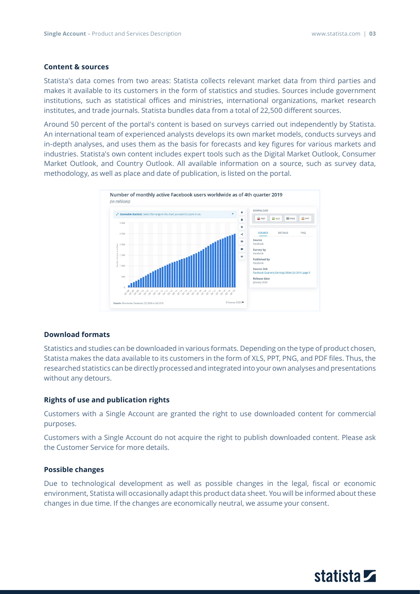## **Content & sources**

Statista's data comes from two areas: Statista collects relevant market data from third parties and makes it available to its customers in the form of statistics and studies. Sources include government institutions, such as statistical offices and ministries, international organizations, market research institutes, and trade journals. Statista bundles data from a total of 22,500 different sources.

Around 50 percent of the portal's content is based on surveys carried out independently by Statista. An international team of experienced analysts develops its own market models, conducts surveys and in-depth analyses, and uses them as the basis for forecasts and key figures for various markets and industries. Statista's own content includes expert tools such as the Digital Market Outlook, Consumer Market Outlook, and Country Outlook. All available information on a source, such as survey data, methodology, as well as place and date of publication, is listed on the portal.



#### **Download formats**

Statistics and studies can be downloaded in various formats. Depending on the type of product chosen, Statista makes the data available to its customers in the form of XLS, PPT, PNG, and PDF files. Thus, the researched statistics can be directly processed and integrated into your own analyses and presentations without any detours.

## **Rights of use and publication rights**

Customers with a Single Account are granted the right to use downloaded content for commercial purposes.

Customers with a Single Account do not acquire the right to publish downloaded content. Please ask the Customer Service for more details.

## **Possible changes**

Due to technological development as well as possible changes in the legal, fiscal or economic environment, Statista will occasionally adapt this product data sheet. You will be informed about these changes in due time. If the changes are economically neutral, we assume your consent.

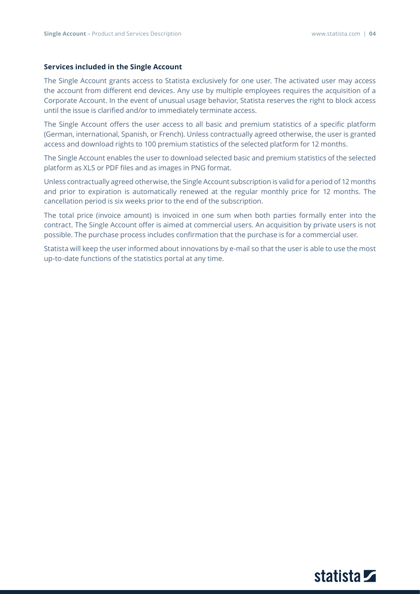## **Services included in the Single Account**

The Single Account grants access to Statista exclusively for one user. The activated user may access the account from different end devices. Any use by multiple employees requires the acquisition of a Corporate Account. In the event of unusual usage behavior, Statista reserves the right to block access until the issue is clarified and/or to immediately terminate access.

The Single Account offers the user access to all basic and premium statistics of a specific platform (German, international, Spanish, or French). Unless contractually agreed otherwise, the user is granted access and download rights to 100 premium statistics of the selected platform for 12 months.

The Single Account enables the user to download selected basic and premium statistics of the selected platform as XLS or PDF files and as images in PNG format.

Unless contractually agreed otherwise, the Single Account subscription is valid for a period of 12 months and prior to expiration is automatically renewed at the regular monthly price for 12 months. The cancellation period is six weeks prior to the end of the subscription.

The total price (invoice amount) is invoiced in one sum when both parties formally enter into the contract. The Single Account offer is aimed at commercial users. An acquisition by private users is not possible. The purchase process includes confirmation that the purchase is for a commercial user.

Statista will keep the user informed about innovations by e-mail so that the user is able to use the most up-to-date functions of the statistics portal at any time.